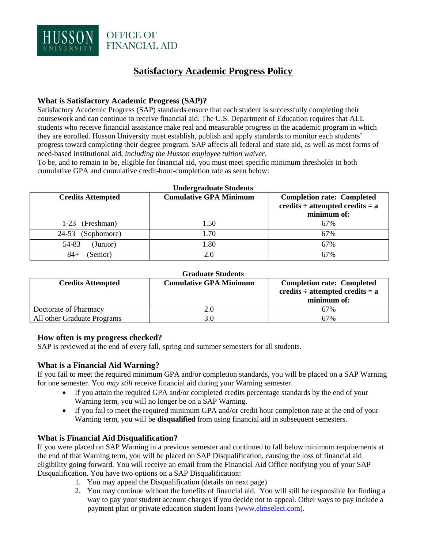

# **Satisfactory Academic Progress Policy**

#### **What is Satisfactory Academic Progress (SAP)?**

Satisfactory Academic Progress (SAP) standards ensure that each student is successfully completing their coursework and can continue to receive financial aid. The U.S. Department of Education requires that ALL students who receive financial assistance make real and measurable progress in the academic program in which they are enrolled. Husson University must establish, publish and apply standards to monitor each students' progress toward completing their degree program. SAP affects all federal and state aid, as well as most forms of need-based institutional aid, *including the Husson employee tuition waiver*.

To be, and to remain to be, eligible for financial aid, you must meet specific minimum thresholds in both cumulative GPA and cumulative credit-hour-completion rate as seen below:

| <b>Undergraduate Students</b> |                               |                                                                                          |
|-------------------------------|-------------------------------|------------------------------------------------------------------------------------------|
| <b>Credits Attempted</b>      | <b>Cumulative GPA Minimum</b> | <b>Completion rate: Completed</b><br>credits $\div$ attempted credits = a<br>minimum of: |
| (Freshman)<br>$1-23$          | 1.50                          | 67%                                                                                      |
| 24-53 (Sophomore)             | 1.70                          | 67%                                                                                      |
| 54-83<br>(Junior)             | 1.80                          | 67%                                                                                      |
| (Senior)<br>84+               | 20                            | 67%                                                                                      |

#### **Graduate Students**

| <b>Credits Attempted</b>    | <b>Cumulative GPA Minimum</b> | <b>Completion rate: Completed</b><br>credits $\div$ attempted credits = a<br>minimum of: |
|-----------------------------|-------------------------------|------------------------------------------------------------------------------------------|
| Doctorate of Pharmacy       |                               | 67%                                                                                      |
| All other Graduate Programs |                               | 67%                                                                                      |

#### **How often is my progress checked?**

SAP is reviewed at the end of every fall, spring and summer semesters for all students.

#### **What is a Financial Aid Warning?**

If you fail to meet the required minimum GPA and/or completion standards, you will be placed on a SAP Warning for one semester. You *may still* receive financial aid during your Warning semester.

- If you attain the required GPA and/or completed credits percentage standards by the end of your Warning term, you will no longer be on a SAP Warning.
- If you fail to meet the required minimum GPA and/or credit hour completion rate at the end of your Warning term, you will be **disqualified** from using financial aid in subsequent semesters.

#### **What is Financial Aid Disqualification?**

If you were placed on SAP Warning in a previous semester and continued to fall below minimum requirements at the end of that Warning term, you will be placed on SAP Disqualification, causing the loss of financial aid eligibility going forward. You will receive an email from the Financial Aid Office notifying you of your SAP Disqualification. You have two options on a SAP Disqualification:

- 1. You may appeal the Disqualification (details on next page)
- 2. You may continue without the benefits of financial aid. You will still be responsible for finding a way to pay your student account charges if you decide not to appeal. Other ways to pay include a payment plan or private education student loans [\(www.elmselect.com\)](http://www.elmselect.com/).